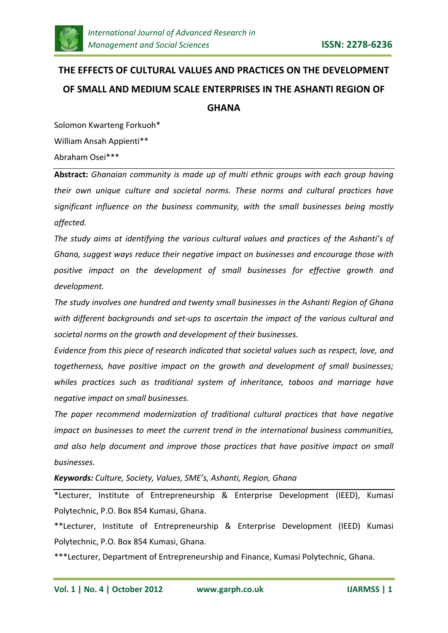

# **THE EFFECTS OF CULTURAL VALUES AND PRACTICES ON THE DEVELOPMENT OF SMALL AND MEDIUM SCALE ENTERPRISES IN THE ASHANTI REGION OF GHANA**

Solomon Kwarteng Forkuoh\* William Ansah Appienti\*\* Abraham Osei\*\*\*

**Abstract:** *Ghanaian community is made up of multi ethnic groups with each group having their own unique culture and societal norms. These norms and cultural practices have significant influence on the business community, with the small businesses being mostly affected.*

*The study aims at identifying the various cultural values and practices of the Ashanti's of Ghana, suggest ways reduce their negative impact on businesses and encourage those with positive impact on the development of small businesses for effective growth and development.*

*The study involves one hundred and twenty small businesses in the Ashanti Region of Ghana with different backgrounds and set-ups to ascertain the impact of the various cultural and societal norms on the growth and development of their businesses.* 

*Evidence from this piece of research indicated that societal values such as respect, love, and togetherness, have positive impact on the growth and development of small businesses; whiles practices such as traditional system of inheritance, taboos and marriage have negative impact on small businesses.*

*The paper recommend modernization of traditional cultural practices that have negative impact on businesses to meet the current trend in the international business communities, and also help document and improve those practices that have positive impact on small businesses.*

*Keywords: Culture, Society, Values, SME's, Ashanti, Region, Ghana*

\*Lecturer, Institute of Entrepreneurship & Enterprise Development (IEED), Kumasi Polytechnic, P.O. Box 854 Kumasi, Ghana.

\*\*Lecturer, Institute of Entrepreneurship & Enterprise Development (IEED) Kumasi Polytechnic, P.O. Box 854 Kumasi, Ghana.

\*\*\*Lecturer, Department of Entrepreneurship and Finance, Kumasi Polytechnic, Ghana.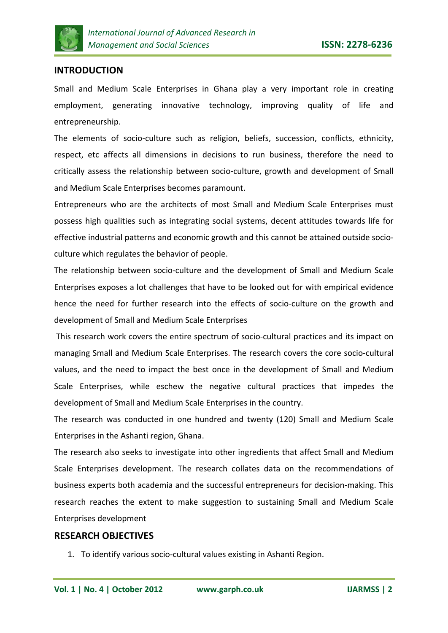

# **INTRODUCTION**

Small and Medium Scale Enterprises in Ghana play a very important role in creating employment, generating innovative technology, improving quality of life and entrepreneurship.

The elements of socio-culture such as religion, beliefs, succession, conflicts, ethnicity, respect, etc affects all dimensions in decisions to run business, therefore the need to critically assess the relationship between socio-culture, growth and development of Small and Medium Scale Enterprises becomes paramount.

Entrepreneurs who are the architects of most Small and Medium Scale Enterprises must possess high qualities such as integrating social systems, decent attitudes towards life for effective industrial patterns and economic growth and this cannot be attained outside socioculture which regulates the behavior of people.

The relationship between socio-culture and the development of Small and Medium Scale Enterprises exposes a lot challenges that have to be looked out for with empirical evidence hence the need for further research into the effects of socio-culture on the growth and development of Small and Medium Scale Enterprises

This research work covers the entire spectrum of socio-cultural practices and its impact on managing Small and Medium Scale Enterprises. The research covers the core socio-cultural values, and the need to impact the best once in the development of Small and Medium Scale Enterprises, while eschew the negative cultural practices that impedes the development of Small and Medium Scale Enterprises in the country.

The research was conducted in one hundred and twenty (120) Small and Medium Scale Enterprises in the Ashanti region, Ghana.

The research also seeks to investigate into other ingredients that affect Small and Medium Scale Enterprises development. The research collates data on the recommendations of business experts both academia and the successful entrepreneurs for decision-making. This research reaches the extent to make suggestion to sustaining Small and Medium Scale Enterprises development

# **RESEARCH OBJECTIVES**

1. To identify various socio-cultural values existing in Ashanti Region.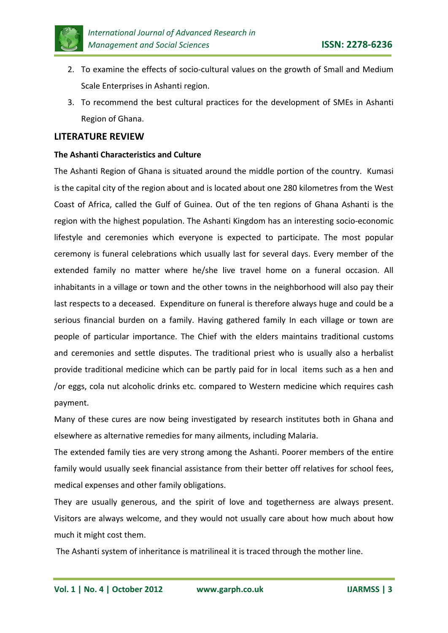

- 2. To examine the effects of socio-cultural values on the growth of Small and Medium Scale Enterprises in Ashanti region.
- 3. To recommend the best cultural practices for the development of SMEs in Ashanti Region of Ghana.

## **LITERATURE REVIEW**

## **The Ashanti Characteristics and Culture**

The Ashanti Region of Ghana is situated around the middle portion of the country. Kumasi is the capital city of the region about and is located about one 280 kilometres from the West Coast of Africa, called the Gulf of Guinea. Out of the ten regions of Ghana Ashanti is the region with the highest population. The Ashanti Kingdom has an interesting socio-economic lifestyle and ceremonies which everyone is expected to participate. The most popular ceremony is funeral celebrations which usually last for several days. Every member of the extended family no matter where he/she live travel home on a funeral occasion. All inhabitants in a village or town and the other towns in the neighborhood will also pay their last respects to a deceased. Expenditure on funeral is therefore always huge and could be a serious financial burden on a family. Having gathered family In each village or town are people of particular importance. The Chief with the elders maintains traditional customs and ceremonies and settle disputes. The traditional priest who is usually also a herbalist provide traditional medicine which can be partly paid for in local items such as a hen and /or eggs, cola nut alcoholic drinks etc. compared to Western medicine which requires cash payment.

Many of these cures are now being investigated by research institutes both in Ghana and elsewhere as alternative remedies for many ailments, including Malaria.

The extended family ties are very strong among the Ashanti. Poorer members of the entire family would usually seek financial assistance from their better off relatives for school fees, medical expenses and other family obligations.

They are usually generous, and the spirit of love and togetherness are always present. Visitors are always welcome, and they would not usually care about how much about how much it might cost them.

The Ashanti system of inheritance is matrilineal it is traced through the mother line.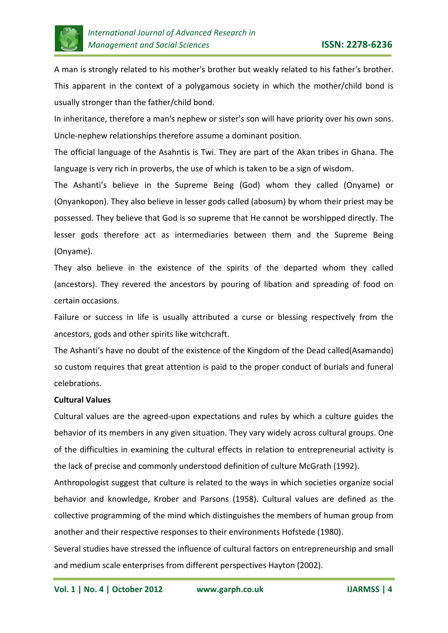

A man is strongly related to his mother's brother but weakly related to his father's brother. This apparent in the context of a polygamous society in which the mother/child bond is usually stronger than the father/child bond.

In inheritance, therefore a man's nephew or sister's son will have priority over his own sons. Uncle-nephew relationships therefore assume a dominant position.

The official language of the Asahntis is Twi. They are part of the Akan tribes in Ghana. The language is very rich in proverbs, the use of which is taken to be a sign of wisdom.

The Ashanti's believe in the Supreme Being (God) whom they called (Onyame) or (Onyankopon). They also believe in lesser gods called (abosum) by whom their priest may be possessed. They believe that God is so supreme that He cannot be worshipped directly. The lesser gods therefore act as intermediaries between them and the Supreme Being (Onyame).

They also believe in the existence of the spirits of the departed whom they called (ancestors). They revered the ancestors by pouring of libation and spreading of food on certain occasions.

Failure or success in life is usually attributed a curse or blessing respectively from the ancestors, gods and other spirits like witchcraft.

The Ashanti's have no doubt of the existence of the Kingdom of the Dead called(Asamando) so custom requires that great attention is paid to the proper conduct of burials and funeral celebrations.

## **Cultural Values**

Cultural values are the agreed-upon expectations and rules by which a culture guides the behavior of its members in any given situation. They vary widely across cultural groups. One of the difficulties in examining the cultural effects in relation to entrepreneurial activity is the lack of precise and commonly understood definition of culture McGrath (1992).

Anthropologist suggest that culture is related to the ways in which societies organize social behavior and knowledge, Krober and Parsons (1958). Cultural values are defined as the collective programming of the mind which distinguishes the members of human group from another and their respective responses to their environments Hofstede (1980).

Several studies have stressed the influence of cultural factors on entrepreneurship and small and medium scale enterprises from different perspectives Hayton (2002).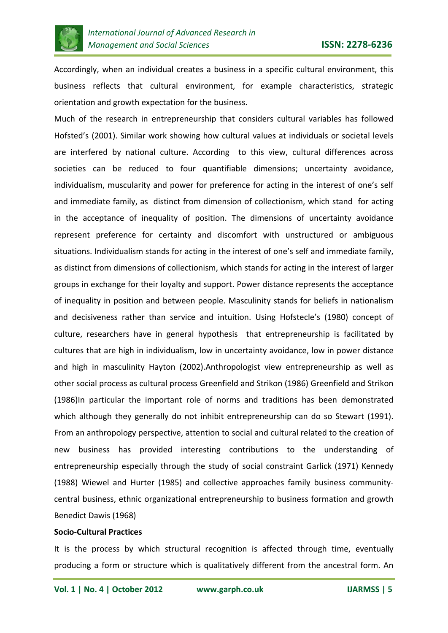

Accordingly, when an individual creates a business in a specific cultural environment, this business reflects that cultural environment, for example characteristics, strategic orientation and growth expectation for the business.

Much of the research in entrepreneurship that considers cultural variables has followed Hofsted's (2001). Similar work showing how cultural values at individuals or societal levels are interfered by national culture. According to this view, cultural differences across societies can be reduced to four quantifiable dimensions; uncertainty avoidance, individualism, muscularity and power for preference for acting in the interest of one's self and immediate family, as distinct from dimension of collectionism, which stand for acting in the acceptance of inequality of position. The dimensions of uncertainty avoidance represent preference for certainty and discomfort with unstructured or ambiguous situations. Individualism stands for acting in the interest of one's self and immediate family, as distinct from dimensions of collectionism, which stands for acting in the interest of larger groups in exchange for their loyalty and support. Power distance represents the acceptance of inequality in position and between people. Masculinity stands for beliefs in nationalism and decisiveness rather than service and intuition. Using Hofstecle's (1980) concept of culture, researchers have in general hypothesis that entrepreneurship is facilitated by cultures that are high in individualism, low in uncertainty avoidance, low in power distance and high in masculinity Hayton (2002).Anthropologist view entrepreneurship as well as other social process as cultural process Greenfield and Strikon (1986) Greenfield and Strikon (1986)In particular the important role of norms and traditions has been demonstrated which although they generally do not inhibit entrepreneurship can do so Stewart (1991). From an anthropology perspective, attention to social and cultural related to the creation of new business has provided interesting contributions to the understanding of entrepreneurship especially through the study of social constraint Garlick (1971) Kennedy (1988) Wiewel and Hurter (1985) and collective approaches family business communitycentral business, ethnic organizational entrepreneurship to business formation and growth Benedict Dawis (1968)

## **Socio-Cultural Practices**

It is the process by which structural recognition is affected through time, eventually producing a form or structure which is qualitatively different from the ancestral form. An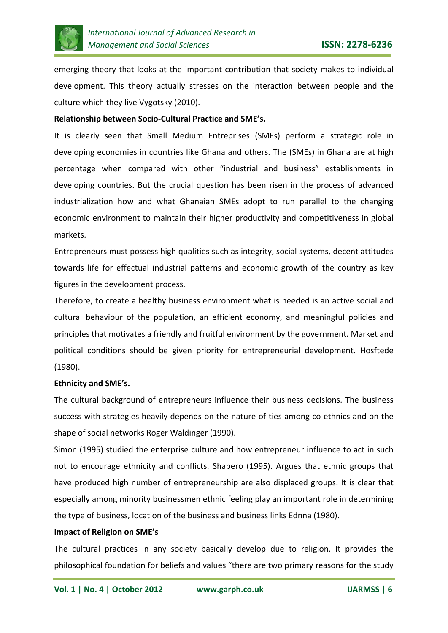

emerging theory that looks at the important contribution that society makes to individual development. This theory actually stresses on the interaction between people and the culture which they live Vygotsky (2010).

## **Relationship between Socio-Cultural Practice and SME's.**

It is clearly seen that Small Medium Entreprises (SMEs) perform a strategic role in developing economies in countries like Ghana and others. The (SMEs) in Ghana are at high percentage when compared with other "industrial and business" establishments in developing countries. But the crucial question has been risen in the process of advanced industrialization how and what Ghanaian SMEs adopt to run parallel to the changing economic environment to maintain their higher productivity and competitiveness in global markets.

Entrepreneurs must possess high qualities such as integrity, social systems, decent attitudes towards life for effectual industrial patterns and economic growth of the country as key figures in the development process.

Therefore, to create a healthy business environment what is needed is an active social and cultural behaviour of the population, an efficient economy, and meaningful policies and principles that motivates a friendly and fruitful environment by the government. Market and political conditions should be given priority for entrepreneurial development. Hosftede (1980).

## **Ethnicity and SME's.**

The cultural background of entrepreneurs influence their business decisions. The business success with strategies heavily depends on the nature of ties among co-ethnics and on the shape of social networks Roger Waldinger (1990).

Simon (1995) studied the enterprise culture and how entrepreneur influence to act in such not to encourage ethnicity and conflicts. Shapero (1995). Argues that ethnic groups that have produced high number of entrepreneurship are also displaced groups. It is clear that especially among minority businessmen ethnic feeling play an important role in determining the type of business, location of the business and business links Ednna (1980).

#### **Impact of Religion on SME's**

The cultural practices in any society basically develop due to religion. It provides the philosophical foundation for beliefs and values "there are two primary reasons for the study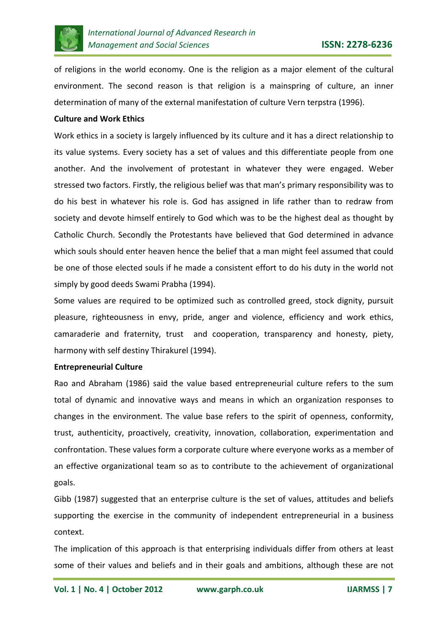

of religions in the world economy. One is the religion as a major element of the cultural environment. The second reason is that religion is a mainspring of culture, an inner determination of many of the external manifestation of culture Vern terpstra (1996).

## **Culture and Work Ethics**

Work ethics in a society is largely influenced by its culture and it has a direct relationship to its value systems. Every society has a set of values and this differentiate people from one another. And the involvement of protestant in whatever they were engaged. Weber stressed two factors. Firstly, the religious belief was that man's primary responsibility was to do his best in whatever his role is. God has assigned in life rather than to redraw from society and devote himself entirely to God which was to be the highest deal as thought by Catholic Church. Secondly the Protestants have believed that God determined in advance which souls should enter heaven hence the belief that a man might feel assumed that could be one of those elected souls if he made a consistent effort to do his duty in the world not simply by good deeds Swami Prabha (1994).

Some values are required to be optimized such as controlled greed, stock dignity, pursuit pleasure, righteousness in envy, pride, anger and violence, efficiency and work ethics, camaraderie and fraternity, trust and cooperation, transparency and honesty, piety, harmony with self destiny Thirakurel (1994).

## **Entrepreneurial Culture**

Rao and Abraham (1986) said the value based entrepreneurial culture refers to the sum total of dynamic and innovative ways and means in which an organization responses to changes in the environment. The value base refers to the spirit of openness, conformity, trust, authenticity, proactively, creativity, innovation, collaboration, experimentation and confrontation. These values form a corporate culture where everyone works as a member of an effective organizational team so as to contribute to the achievement of organizational goals.

Gibb (1987) suggested that an enterprise culture is the set of values, attitudes and beliefs supporting the exercise in the community of independent entrepreneurial in a business context.

The implication of this approach is that enterprising individuals differ from others at least some of their values and beliefs and in their goals and ambitions, although these are not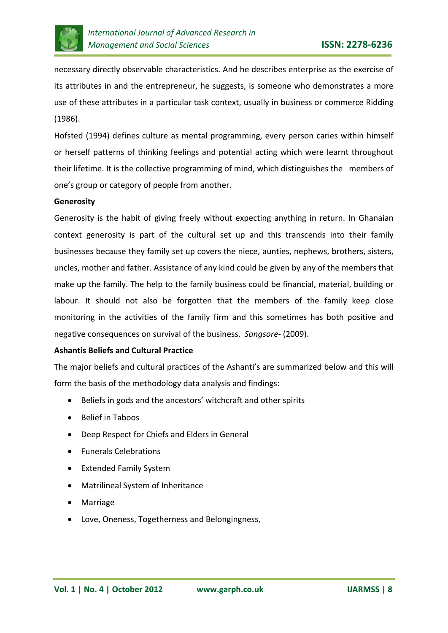

necessary directly observable characteristics. And he describes enterprise as the exercise of its attributes in and the entrepreneur, he suggests, is someone who demonstrates a more use of these attributes in a particular task context, usually in business or commerce Ridding (1986).

Hofsted (1994) defines culture as mental programming, every person caries within himself or herself patterns of thinking feelings and potential acting which were learnt throughout their lifetime. It is the collective programming of mind, which distinguishes the members of one's group or category of people from another.

#### **Generosity**

Generosity is the habit of giving freely without expecting anything in return. In Ghanaian context generosity is part of the cultural set up and this transcends into their family businesses because they family set up covers the niece, aunties, nephews, brothers, sisters, uncles, mother and father. Assistance of any kind could be given by any of the members that make up the family. The help to the family business could be financial, material, building or labour. It should not also be forgotten that the members of the family keep close monitoring in the activities of the family firm and this sometimes has both positive and negative consequences on survival of the business. *Songsore*- (2009).

## **Ashantis Beliefs and Cultural Practice**

The major beliefs and cultural practices of the Ashanti's are summarized below and this will form the basis of the methodology data analysis and findings:

- Beliefs in gods and the ancestors' witchcraft and other spirits
- Belief in Taboos
- Deep Respect for Chiefs and Elders in General
- Funerals Celebrations
- Extended Family System
- Matrilineal System of Inheritance
- Marriage
- Love, Oneness, Togetherness and Belongingness,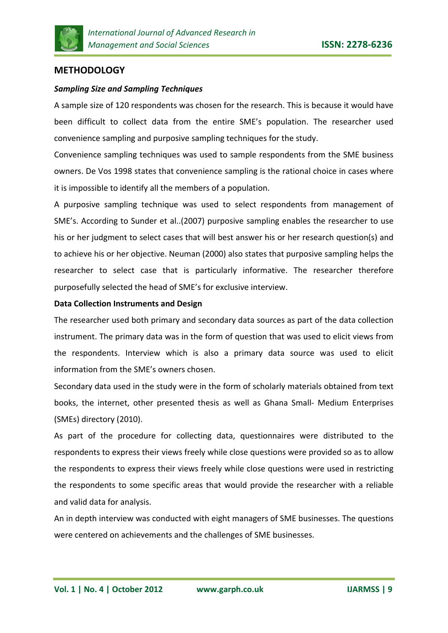

# **METHODOLOGY**

## *Sampling Size and Sampling Techniques*

A sample size of 120 respondents was chosen for the research. This is because it would have been difficult to collect data from the entire SME's population. The researcher used convenience sampling and purposive sampling techniques for the study.

Convenience sampling techniques was used to sample respondents from the SME business owners. De Vos 1998 states that convenience sampling is the rational choice in cases where it is impossible to identify all the members of a population.

A purposive sampling technique was used to select respondents from management of SME's. According to Sunder et al..(2007) purposive sampling enables the researcher to use his or her judgment to select cases that will best answer his or her research question(s) and to achieve his or her objective. Neuman (2000) also states that purposive sampling helps the researcher to select case that is particularly informative. The researcher therefore purposefully selected the head of SME's for exclusive interview.

## **Data Collection Instruments and Design**

The researcher used both primary and secondary data sources as part of the data collection instrument. The primary data was in the form of question that was used to elicit views from the respondents. Interview which is also a primary data source was used to elicit information from the SME's owners chosen.

Secondary data used in the study were in the form of scholarly materials obtained from text books, the internet, other presented thesis as well as Ghana Small- Medium Enterprises (SMEs) directory (2010).

As part of the procedure for collecting data, questionnaires were distributed to the respondents to express their views freely while close questions were provided so as to allow the respondents to express their views freely while close questions were used in restricting the respondents to some specific areas that would provide the researcher with a reliable and valid data for analysis.

An in depth interview was conducted with eight managers of SME businesses. The questions were centered on achievements and the challenges of SME businesses.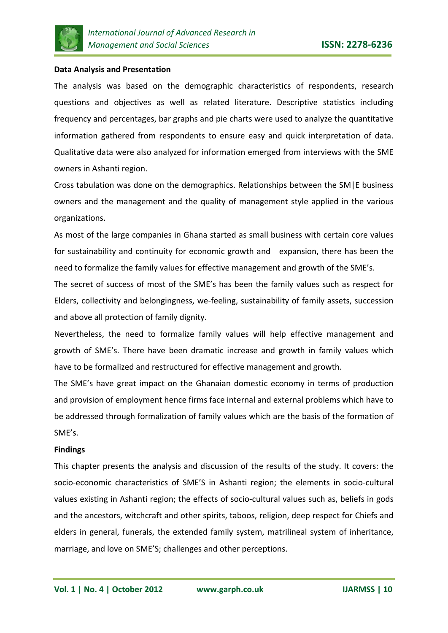

## **Data Analysis and Presentation**

The analysis was based on the demographic characteristics of respondents, research questions and objectives as well as related literature. Descriptive statistics including frequency and percentages, bar graphs and pie charts were used to analyze the quantitative information gathered from respondents to ensure easy and quick interpretation of data. Qualitative data were also analyzed for information emerged from interviews with the SME owners in Ashanti region.

Cross tabulation was done on the demographics. Relationships between the SM|E business owners and the management and the quality of management style applied in the various organizations.

As most of the large companies in Ghana started as small business with certain core values for sustainability and continuity for economic growth and expansion, there has been the need to formalize the family values for effective management and growth of the SME's.

The secret of success of most of the SME's has been the family values such as respect for Elders, collectivity and belongingness, we-feeling, sustainability of family assets, succession and above all protection of family dignity.

Nevertheless, the need to formalize family values will help effective management and growth of SME's. There have been dramatic increase and growth in family values which have to be formalized and restructured for effective management and growth.

The SME's have great impact on the Ghanaian domestic economy in terms of production and provision of employment hence firms face internal and external problems which have to be addressed through formalization of family values which are the basis of the formation of SME's.

#### **Findings**

This chapter presents the analysis and discussion of the results of the study. It covers: the socio-economic characteristics of SME'S in Ashanti region; the elements in socio-cultural values existing in Ashanti region; the effects of socio-cultural values such as, beliefs in gods and the ancestors, witchcraft and other spirits, taboos, religion, deep respect for Chiefs and elders in general, funerals, the extended family system, matrilineal system of inheritance, marriage, and love on SME'S; challenges and other perceptions.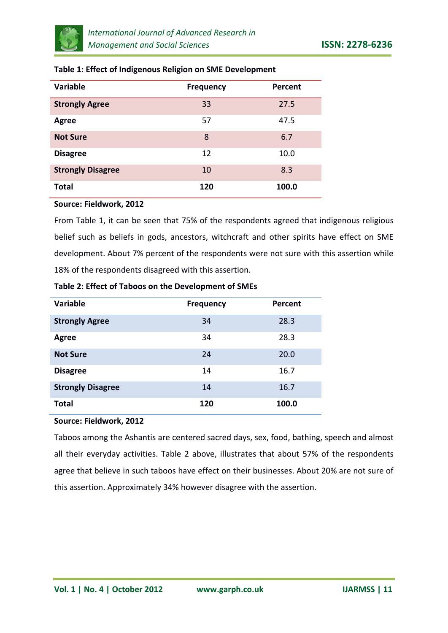

| <b>Variable</b>          | <b>Frequency</b> | Percent |
|--------------------------|------------------|---------|
| <b>Strongly Agree</b>    | 33               | 27.5    |
| Agree                    | 57               | 47.5    |
| <b>Not Sure</b>          | 8                | 6.7     |
| <b>Disagree</b>          | 12               | 10.0    |
| <b>Strongly Disagree</b> | 10               | 8.3     |
| <b>Total</b>             | 120              | 100.0   |

## **Table 1: Effect of Indigenous Religion on SME Development**

## **Source: Fieldwork, 2012**

From Table 1, it can be seen that 75% of the respondents agreed that indigenous religious belief such as beliefs in gods, ancestors, witchcraft and other spirits have effect on SME development. About 7% percent of the respondents were not sure with this assertion while 18% of the respondents disagreed with this assertion.

| Table 2: Effect of Taboos on the Development of SMEs |
|------------------------------------------------------|
|------------------------------------------------------|

| <b>Variable</b>          | <b>Frequency</b> | <b>Percent</b> |
|--------------------------|------------------|----------------|
| <b>Strongly Agree</b>    | 34               | 28.3           |
| <b>Agree</b>             | 34               | 28.3           |
| <b>Not Sure</b>          | 24               | 20.0           |
| <b>Disagree</b>          | 14               | 16.7           |
| <b>Strongly Disagree</b> | 14               | 16.7           |
| <b>Total</b>             | 120              | 100.0          |

## **Source: Fieldwork, 2012**

Taboos among the Ashantis are centered sacred days, sex, food, bathing, speech and almost all their everyday activities. Table 2 above, illustrates that about 57% of the respondents agree that believe in such taboos have effect on their businesses. About 20% are not sure of this assertion. Approximately 34% however disagree with the assertion.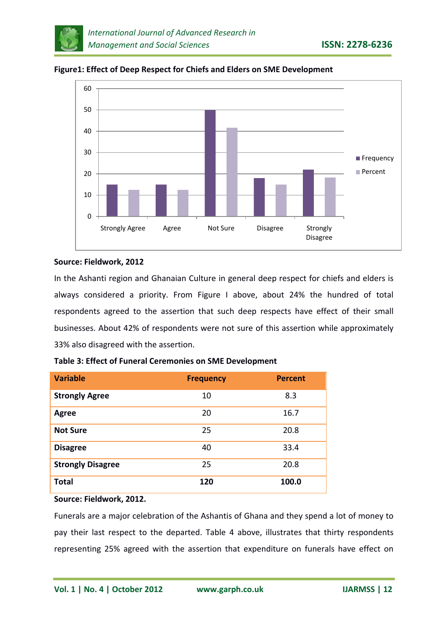



**Figure1: Effect of Deep Respect for Chiefs and Elders on SME Development**

# **Source: Fieldwork, 2012**

In the Ashanti region and Ghanaian Culture in general deep respect for chiefs and elders is always considered a priority. From Figure I above, about 24% the hundred of total respondents agreed to the assertion that such deep respects have effect of their small businesses. About 42% of respondents were not sure of this assertion while approximately 33% also disagreed with the assertion.

| <b>Variable</b>          | <b>Frequency</b> | <b>Percent</b> |
|--------------------------|------------------|----------------|
| <b>Strongly Agree</b>    | 10               | 8.3            |
| Agree                    | 20               | 16.7           |
| <b>Not Sure</b>          | 25               | 20.8           |
| <b>Disagree</b>          | 40               | 33.4           |
| <b>Strongly Disagree</b> | 25               | 20.8           |
| <b>Total</b>             | 120              | 100.0          |

**Table 3: Effect of Funeral Ceremonies on SME Development**

**Source: Fieldwork, 2012.**

Funerals are a major celebration of the Ashantis of Ghana and they spend a lot of money to pay their last respect to the departed. Table 4 above, illustrates that thirty respondents representing 25% agreed with the assertion that expenditure on funerals have effect on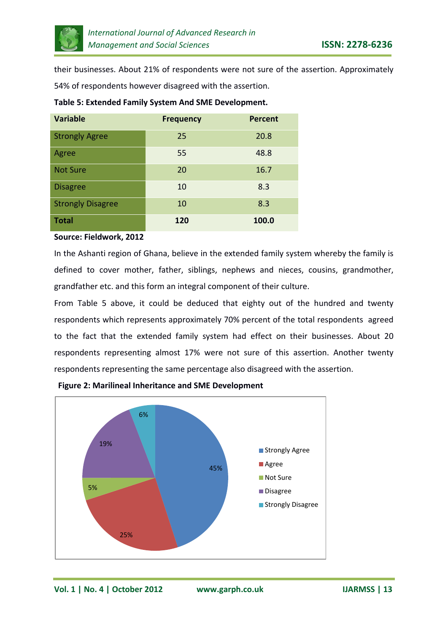

their businesses. About 21% of respondents were not sure of the assertion. Approximately 54% of respondents however disagreed with the assertion.

| <b>Variable</b>          | <b>Frequency</b> | <b>Percent</b> |
|--------------------------|------------------|----------------|
| <b>Strongly Agree</b>    | 25               | 20.8           |
| Agree                    | 55               | 48.8           |
| <b>Not Sure</b>          | 20               | 16.7           |
| <b>Disagree</b>          | 10               | 8.3            |
| <b>Strongly Disagree</b> | 10               | 8.3            |
| <b>Total</b>             | 120              | 100.0          |

# **Table 5: Extended Family System And SME Development.**

#### **Source: Fieldwork, 2012**

In the Ashanti region of Ghana, believe in the extended family system whereby the family is defined to cover mother, father, siblings, nephews and nieces, cousins, grandmother, grandfather etc. and this form an integral component of their culture.

From Table 5 above, it could be deduced that eighty out of the hundred and twenty respondents which represents approximately 70% percent of the total respondents agreed to the fact that the extended family system had effect on their businesses. About 20 respondents representing almost 17% were not sure of this assertion. Another twenty respondents representing the same percentage also disagreed with the assertion.



**Figure 2: Marilineal Inheritance and SME Development**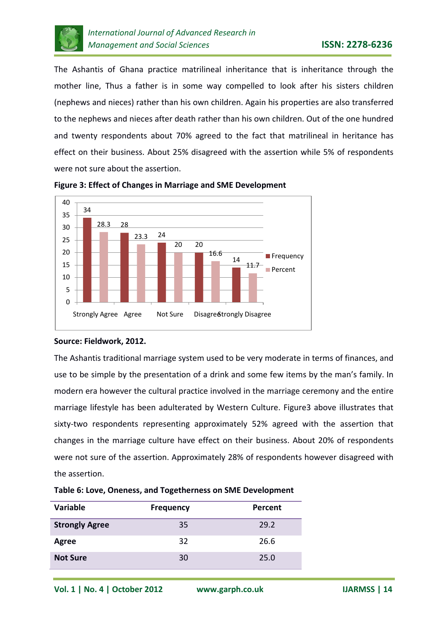

The Ashantis of Ghana practice matrilineal inheritance that is inheritance through the mother line, Thus a father is in some way compelled to look after his sisters children (nephews and nieces) rather than his own children. Again his properties are also transferred to the nephews and nieces after death rather than his own children. Out of the one hundred and twenty respondents about 70% agreed to the fact that matrilineal in heritance has effect on their business. About 25% disagreed with the assertion while 5% of respondents were not sure about the assertion.



**Figure 3: Effect of Changes in Marriage and SME Development**

## **Source: Fieldwork, 2012.**

The Ashantis traditional marriage system used to be very moderate in terms of finances, and use to be simple by the presentation of a drink and some few items by the man's family. In modern era however the cultural practice involved in the marriage ceremony and the entire marriage lifestyle has been adulterated by Western Culture. Figure3 above illustrates that sixty-two respondents representing approximately 52% agreed with the assertion that changes in the marriage culture have effect on their business. About 20% of respondents were not sure of the assertion. Approximately 28% of respondents however disagreed with the assertion.

| <b>Variable</b>       | <b>Frequency</b> | Percent |
|-----------------------|------------------|---------|
| <b>Strongly Agree</b> | 35               | 29.2    |
| Agree                 | 32               | 26.6    |
| <b>Not Sure</b>       | 30               | 25.0    |

**Table 6: Love, Oneness, and Togetherness on SME Development**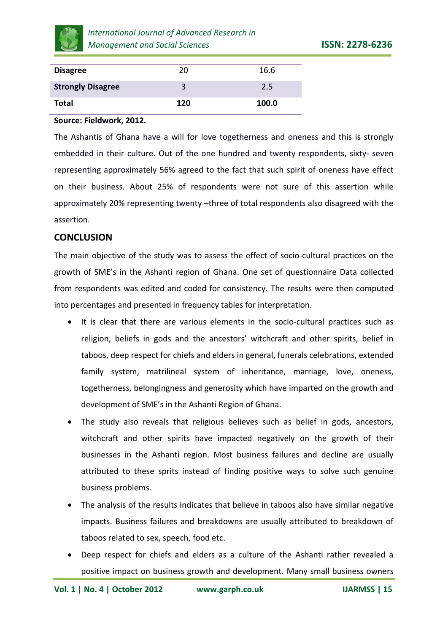

| <b>Disagree</b>          | 20  | 16.6  |
|--------------------------|-----|-------|
| <b>Strongly Disagree</b> |     | 2.5   |
| Total                    | 120 | 100.0 |

## **Source: Fieldwork, 2012.**

The Ashantis of Ghana have a will for love togetherness and oneness and this is strongly embedded in their culture. Out of the one hundred and twenty respondents, sixty- seven representing approximately 56% agreed to the fact that such spirit of oneness have effect on their business. About 25% of respondents were not sure of this assertion while approximately 20% representing twenty –three of total respondents also disagreed with the assertion.

# **CONCLUSION**

The main objective of the study was to assess the effect of socio-cultural practices on the growth of SME's in the Ashanti region of Ghana. One set of questionnaire Data collected from respondents was edited and coded for consistency. The results were then computed into percentages and presented in frequency tables for interpretation.

- It is clear that there are various elements in the socio-cultural practices such as religion, beliefs in gods and the ancestors' witchcraft and other spirits, belief in taboos, deep respect for chiefs and elders in general, funerals celebrations, extended family system, matrilineal system of inheritance, marriage, love, oneness, togetherness, belongingness and generosity which have imparted on the growth and development of SME's in the Ashanti Region of Ghana.
- The study also reveals that religious believes such as belief in gods, ancestors, witchcraft and other spirits have impacted negatively on the growth of their businesses in the Ashanti region. Most business failures and decline are usually attributed to these sprits instead of finding positive ways to solve such genuine business problems.
- The analysis of the results indicates that believe in taboos also have similar negative impacts. Business failures and breakdowns are usually attributed to breakdown of taboos related to sex, speech, food etc.
- Deep respect for chiefs and elders as a culture of the Ashanti rather revealed a positive impact on business growth and development. Many small business owners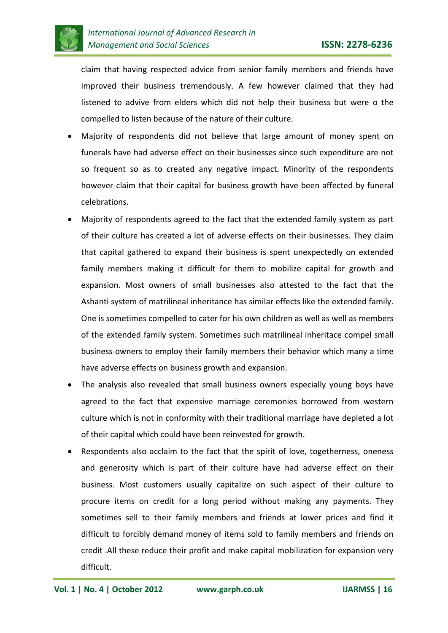

claim that having respected advice from senior family members and friends have improved their business tremendously. A few however claimed that they had listened to advive from elders which did not help their business but were o the compelled to listen because of the nature of their culture.

- Majority of respondents did not believe that large amount of money spent on funerals have had adverse effect on their businesses since such expenditure are not so frequent so as to created any negative impact. Minority of the respondents however claim that their capital for business growth have been affected by funeral celebrations.
- Majority of respondents agreed to the fact that the extended family system as part of their culture has created a lot of adverse effects on their businesses. They claim that capital gathered to expand their business is spent unexpectedly on extended family members making it difficult for them to mobilize capital for growth and expansion. Most owners of small businesses also attested to the fact that the Ashanti system of matrilineal inheritance has similar effects like the extended family. One is sometimes compelled to cater for his own children as well as well as members of the extended family system. Sometimes such matrilineal inheritace compel small business owners to employ their family members their behavior which many a time have adverse effects on business growth and expansion.
- The analysis also revealed that small business owners especially young boys have agreed to the fact that expensive marriage ceremonies borrowed from western culture which is not in conformity with their traditional marriage have depleted a lot of their capital which could have been reinvested for growth.
- Respondents also acclaim to the fact that the spirit of love, togetherness, oneness and generosity which is part of their culture have had adverse effect on their business. Most customers usually capitalize on such aspect of their culture to procure items on credit for a long period without making any payments. They sometimes sell to their family members and friends at lower prices and find it difficult to forcibly demand money of items sold to family members and friends on credit .All these reduce their profit and make capital mobilization for expansion very difficult.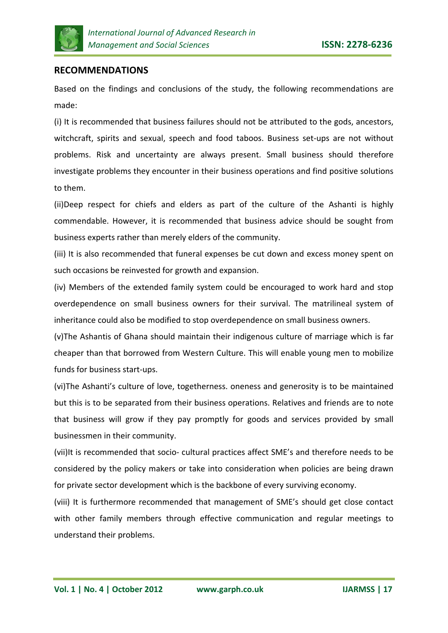

# **RECOMMENDATIONS**

Based on the findings and conclusions of the study, the following recommendations are made:

(i) It is recommended that business failures should not be attributed to the gods, ancestors, witchcraft, spirits and sexual, speech and food taboos. Business set-ups are not without problems. Risk and uncertainty are always present. Small business should therefore investigate problems they encounter in their business operations and find positive solutions to them.

(ii)Deep respect for chiefs and elders as part of the culture of the Ashanti is highly commendable. However, it is recommended that business advice should be sought from business experts rather than merely elders of the community.

(iii) It is also recommended that funeral expenses be cut down and excess money spent on such occasions be reinvested for growth and expansion.

(iv) Members of the extended family system could be encouraged to work hard and stop overdependence on small business owners for their survival. The matrilineal system of inheritance could also be modified to stop overdependence on small business owners.

(v)The Ashantis of Ghana should maintain their indigenous culture of marriage which is far cheaper than that borrowed from Western Culture. This will enable young men to mobilize funds for business start-ups.

(vi)The Ashanti's culture of love, togetherness. oneness and generosity is to be maintained but this is to be separated from their business operations. Relatives and friends are to note that business will grow if they pay promptly for goods and services provided by small businessmen in their community.

(vii)It is recommended that socio- cultural practices affect SME's and therefore needs to be considered by the policy makers or take into consideration when policies are being drawn for private sector development which is the backbone of every surviving economy.

(viii) It is furthermore recommended that management of SME's should get close contact with other family members through effective communication and regular meetings to understand their problems.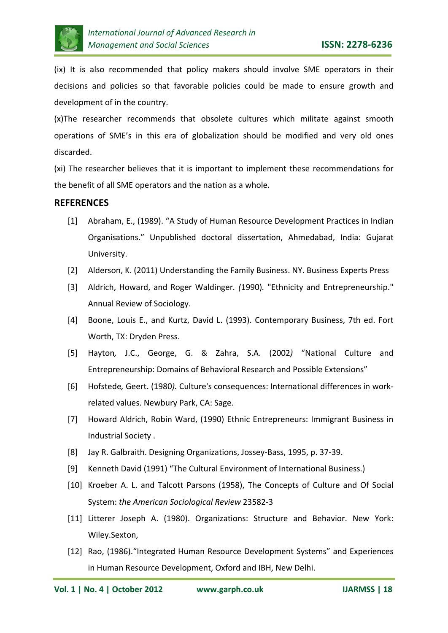

(ix) It is also recommended that policy makers should involve SME operators in their decisions and policies so that favorable policies could be made to ensure growth and development of in the country.

(x)The researcher recommends that obsolete cultures which militate against smooth operations of SME's in this era of globalization should be modified and very old ones discarded.

(xi) The researcher believes that it is important to implement these recommendations for the benefit of all SME operators and the nation as a whole.

## **REFERENCES**

- [1] Abraham, E., (1989). "A Study of Human Resource Development Practices in Indian Organisations." Unpublished doctoral dissertation, Ahmedabad, India: Gujarat University.
- [2] Alderson, K. (2011) Understanding the Family Business. NY. Business Experts Press
- [3] Aldrich, Howard, and Roger Waldinger*. (*1990)*.* "Ethnicity and Entrepreneurship." Annual Review of Sociology.
- [4] Boone, Louis E., and Kurtz, David L. (1993). Contemporary Business, 7th ed. Fort Worth, TX: Dryden Press.
- [5] Hayton*,* J.C., George, G. & Zahra, S.A. (2002*)* "National Culture and Entrepreneurship: Domains of Behavioral Research and Possible Extensions"
- [6] Hofstede*,* Geert. (1980*).* Culture's consequences: International differences in workrelated values. Newbury Park, CA: Sage.
- [7] Howard Aldrich, Robin Ward, (1990) [Ethnic Entrepreneurs: Immigrant Business in](http://www.sscnet.ucla.edu/soc/faculty/waldinger/entrepre.html)  [Industrial Society](http://www.sscnet.ucla.edu/soc/faculty/waldinger/entrepre.html) .
- [8] Jay R. Galbraith. Designing Organizations, Jossey-Bass, 1995, p. 37-39.
- [9] Kenneth David (1991) ["The Cultural Environment of International Business.\)](http://www.amazon.com/Cultural-Environment-International-Sb-Principles-Marketing/dp/0538800038/ref=la_B001HOFN8C_1_3?ie=UTF8&qid=1347543261&sr=1-3)
- [10] Kroeber A. L. and Talcott Parsons (1958), The Concepts of Culture and Of Social System: *the American Sociological Review* 23582-3
- [11] Litterer Joseph A. (1980). Organizations: Structure and Behavior. New York: Wiley.Sexton,
- [12] Rao, (1986). "Integrated Human Resource Development Systems" and Experiences in Human Resource Development, Oxford and IBH, New Delhi.